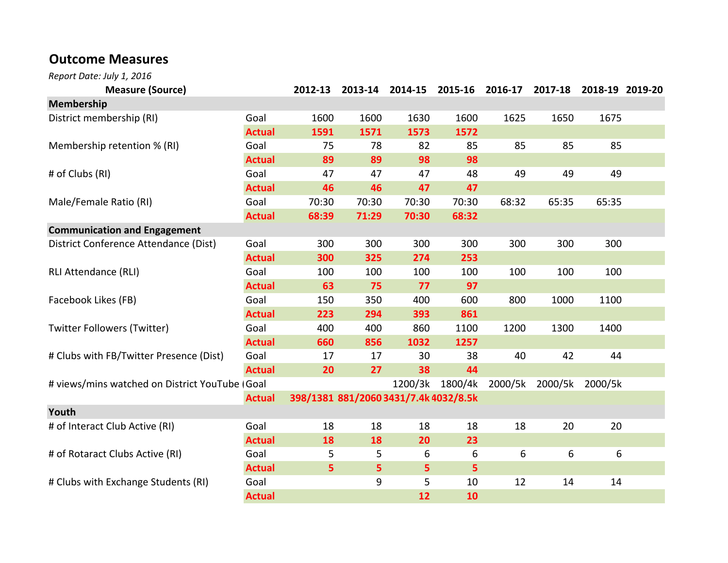## Outcome Measures

Report Date: July 1, 2016

| <b>Measure (Source)</b>                        |               | 2012-13                               | 2013-14 | 2014-15 |         | 2015-16 2016-17 | 2017-18 | 2018-19 2019-20 |  |
|------------------------------------------------|---------------|---------------------------------------|---------|---------|---------|-----------------|---------|-----------------|--|
| <b>Membership</b>                              |               |                                       |         |         |         |                 |         |                 |  |
| District membership (RI)                       | Goal          | 1600                                  | 1600    | 1630    | 1600    | 1625            | 1650    | 1675            |  |
|                                                | <b>Actual</b> | 1591                                  | 1571    | 1573    | 1572    |                 |         |                 |  |
| Membership retention % (RI)                    | Goal          | 75                                    | 78      | 82      | 85      | 85              | 85      | 85              |  |
|                                                | <b>Actual</b> | 89                                    | 89      | 98      | 98      |                 |         |                 |  |
| # of Clubs (RI)                                | Goal          | 47                                    | 47      | 47      | 48      | 49              | 49      | 49              |  |
|                                                | <b>Actual</b> | 46                                    | 46      | 47      | 47      |                 |         |                 |  |
| Male/Female Ratio (RI)                         | Goal          | 70:30                                 | 70:30   | 70:30   | 70:30   | 68:32           | 65:35   | 65:35           |  |
|                                                | <b>Actual</b> | 68:39                                 | 71:29   | 70:30   | 68:32   |                 |         |                 |  |
| <b>Communication and Engagement</b>            |               |                                       |         |         |         |                 |         |                 |  |
| District Conference Attendance (Dist)          | Goal          | 300                                   | 300     | 300     | 300     | 300             | 300     | 300             |  |
|                                                | <b>Actual</b> | 300                                   | 325     | 274     | 253     |                 |         |                 |  |
| <b>RLI Attendance (RLI)</b>                    | Goal          | 100                                   | 100     | 100     | 100     | 100             | 100     | 100             |  |
|                                                | <b>Actual</b> | 63                                    | 75      | 77      | 97      |                 |         |                 |  |
| Facebook Likes (FB)                            | Goal          | 150                                   | 350     | 400     | 600     | 800             | 1000    | 1100            |  |
|                                                | <b>Actual</b> | 223                                   | 294     | 393     | 861     |                 |         |                 |  |
| <b>Twitter Followers (Twitter)</b>             | Goal          | 400                                   | 400     | 860     | 1100    | 1200            | 1300    | 1400            |  |
|                                                | <b>Actual</b> | 660                                   | 856     | 1032    | 1257    |                 |         |                 |  |
| # Clubs with FB/Twitter Presence (Dist)        | Goal          | 17                                    | 17      | 30      | 38      | 40              | 42      | 44              |  |
|                                                | <b>Actual</b> | 20                                    | 27      | 38      | 44      |                 |         |                 |  |
| # views/mins watched on District YouTube (Goal |               |                                       |         | 1200/3k | 1800/4k | 2000/5k         | 2000/5k | 2000/5k         |  |
|                                                | <b>Actual</b> | 398/1381 881/2060 3431/7.4k 4032/8.5k |         |         |         |                 |         |                 |  |
| Youth                                          |               |                                       |         |         |         |                 |         |                 |  |
| # of Interact Club Active (RI)                 | Goal          | 18                                    | 18      | 18      | 18      | 18              | 20      | 20              |  |
|                                                | <b>Actual</b> | 18                                    | 18      | 20      | 23      |                 |         |                 |  |
| # of Rotaract Clubs Active (RI)                | Goal          | 5                                     | 5       | 6       | 6       | 6               | 6       | 6               |  |
|                                                | <b>Actual</b> | 5                                     | 5       | 5       | 5       |                 |         |                 |  |
| # Clubs with Exchange Students (RI)            | Goal          |                                       | 9       | 5       | 10      | 12              | 14      | 14              |  |
|                                                | <b>Actual</b> |                                       |         | 12      | 10      |                 |         |                 |  |